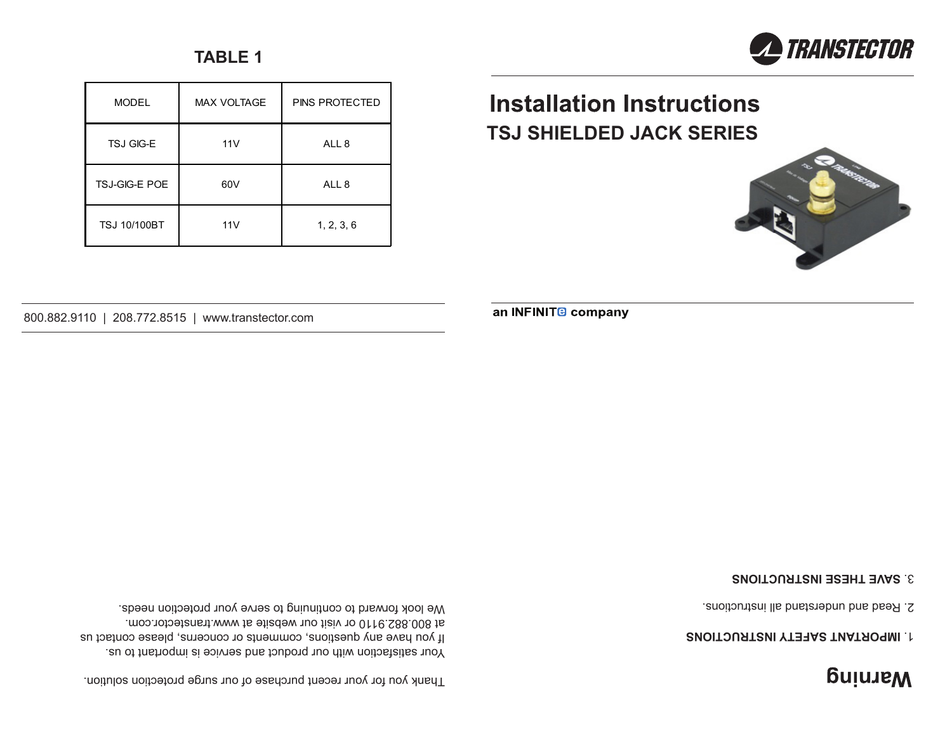# **BujuJeM**

## *ENOITOURTENI YTERAS TNATROPINI.IT*

2. Read and understand all instructions.

### **SAVE THESE INSTRUCTIONS** 3.



## **Installation Instructions TSJ SHIELDED JACK SERIES**

an INFINIT<sup>®</sup> company



Your satisfaction with our product and service is important to us. If you have any questions, comments or concerns, please contact us at 800.882.9110 or visit our website at www.transtector.com. We look forward to continuing to serve your protection needs.

Thank you for your recent purchase of our surge protection solution.

800.882.9110 | 208.772.8515 | www.transtector.com

| <b>MODEL</b>         | <b>MAX VOLTAGE</b> | <b>PINS PROTECTED</b> |
|----------------------|--------------------|-----------------------|
| TSJ GIG-E            | 11V                | ALL <sub>8</sub>      |
| <b>TSJ-GIG-E POE</b> | 60V                | ALL <sub>8</sub>      |
| <b>TSJ 10/100BT</b>  | 11V                | 1, 2, 3, 6            |